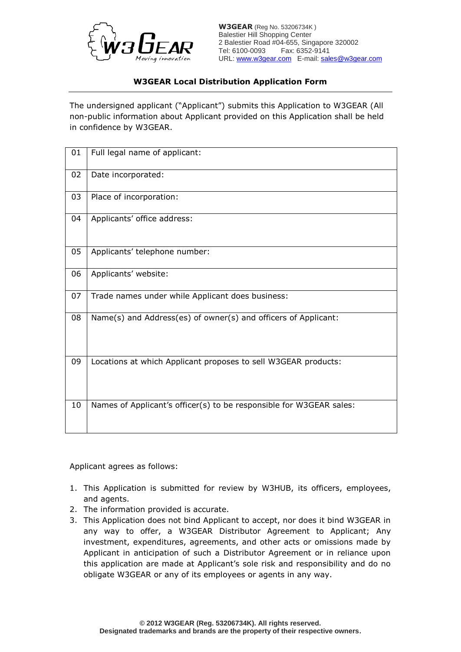

**W3GEAR** (Reg No. 53206734K ) Balestier Hill Shopping Center 2 Balestier Road #04-655, Singapore 320002 Tel: 6100-0093 Fax: 6352-9141 URL: www.w3gear.com E-mail: sales@w3gear.com

## **W3GEAR Local Distribution Application Form**

The undersigned applicant ("Applicant") submits this Application to W3GEAR (All non-public information about Applicant provided on this Application shall be held in confidence by W3GEAR.

| 01 | Full legal name of applicant:                                       |
|----|---------------------------------------------------------------------|
| 02 | Date incorporated:                                                  |
| 03 | Place of incorporation:                                             |
| 04 | Applicants' office address:                                         |
| 05 | Applicants' telephone number:                                       |
| 06 | Applicants' website:                                                |
| 07 | Trade names under while Applicant does business:                    |
| 08 | Name(s) and Address(es) of owner(s) and officers of Applicant:      |
| 09 | Locations at which Applicant proposes to sell W3GEAR products:      |
| 10 | Names of Applicant's officer(s) to be responsible for W3GEAR sales: |

Applicant agrees as follows:

- 1. This Application is submitted for review by W3HUB, its officers, employees, and agents.
- 2. The information provided is accurate.
- 3. This Application does not bind Applicant to accept, nor does it bind W3GEAR in any way to offer, a W3GEAR Distributor Agreement to Applicant; Any investment, expenditures, agreements, and other acts or omissions made by Applicant in anticipation of such a Distributor Agreement or in reliance upon this application are made at Applicant's sole risk and responsibility and do no obligate W3GEAR or any of its employees or agents in any way.